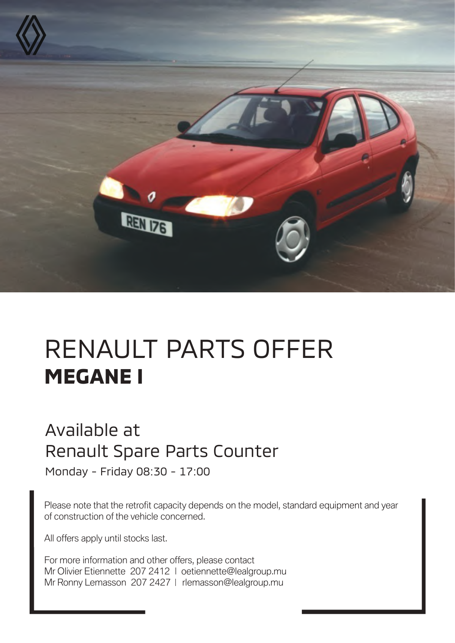

## RENAULT PARTS OFFER **MEGANE I**

## Available at Renault Spare Parts Counter

Monday - Friday 08:30 - 17:00

Please note that the retrofit capacity depends on the model, standard equipment and year of construction of the vehicle concerned.

All offers apply until stocks last.

For more information and other offers, please contact Mr Olivier Etiennette 207 2412 | oetiennette@lealgroup.mu Mr Ronny Lemasson 207 2427 | rlemasson@lealgroup.mu